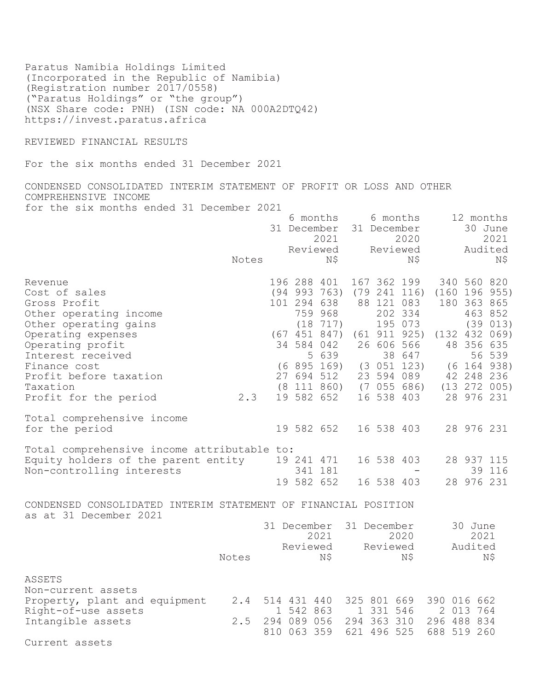Paratus Namibia Holdings Limited (Incorporated in the Republic of Namibia) (Registration number 2017/0558) ("Paratus Holdings" or "the group") (NSX Share code: PNH) (ISN code: NA 000A2DTQ42) https://invest.paratus.africa

REVIEWED FINANCIAL RESULTS

For the six months ended 31 December 2021

CONDENSED CONSOLIDATED INTERIM STATEMENT OF PROFIT OR LOSS AND OTHER COMPREHENSIVE INCOME for the six months ended 31 December 2021

 6 months 6 months 12 months 31 December 31 December 30 June 2021 2020 2021 Reviewed Reviewed Audited Reviewed Reviewed Audited<br>N\$ N\$ N\$ N\$ Revenue 196 288 401 167 362 199 340 560 820 Cost of sales (94 993 763) (79 241 116) (160 196 955) Gross Profit **101 294 638 88 121 083 180 363 865** Other operating income 259 968 202 334 463 852 Other operating income<br>
Other operating gains (18 717) 195 073 (39 013)<br>
(18 717) (61 911 925) (132 432 069) Operating expenses (67 451 847) (61 911 925) (132 432 069) Operating profit 34 584 042 26 606 566 48 356 635 Interest received 10 1 2 38 647 56 539 Finance cost<br>
Finance cost (6 895 169) (3 051 123) (6 164 938)<br>
Profit before taxation (8 111 860) (7 055 686) (13 272 005)<br>
Profit before taxation (8 111 860) (7 055 686) (13 272 005) Profit before taxation 27 694 512 23 594 089 42 248 236 Taxation (8 111 860) (7 055 686) (13 272 005) Profit for the period 2.3 19 582 652 16 538 403 28 976 231 Total comprehensive income for the period 19 582 652 16 538 403 28 976 231 Total comprehensive income attributable to: Equity holders of the parent entity 19 241 471 16 538 403 28 937 115 Non-controlling interests 341 181 - 39 116 19 582 652 16 538 403 28 976 231

CONDENSED CONSOLIDATED INTERIM STATEMENT OF FINANCIAL POSITION as at 31 December 2021 31 December 31 December 30 June

|                                                      | Notes | 31 December<br>2021<br>Reviewed<br>ΝŞ | 31 December<br>2020<br>Reviewed<br>ΝŞ | 30 June<br>2021<br>Audited<br>ΝŞ |
|------------------------------------------------------|-------|---------------------------------------|---------------------------------------|----------------------------------|
| ASSETS<br>Non-current assets                         |       |                                       |                                       |                                  |
| Property, plant and equipment<br>Right-of-use assets | 2.4   | 514 431 440<br>1 542 863              | 325 801 669<br>1 331 546              | 390 016 662<br>2 013 764         |
| Intangible assets                                    | 2.5   | 294 089 056<br>810 063 359            | 294 363 310<br>621 496 525            | 296 488 834<br>688 519 260       |

Current assets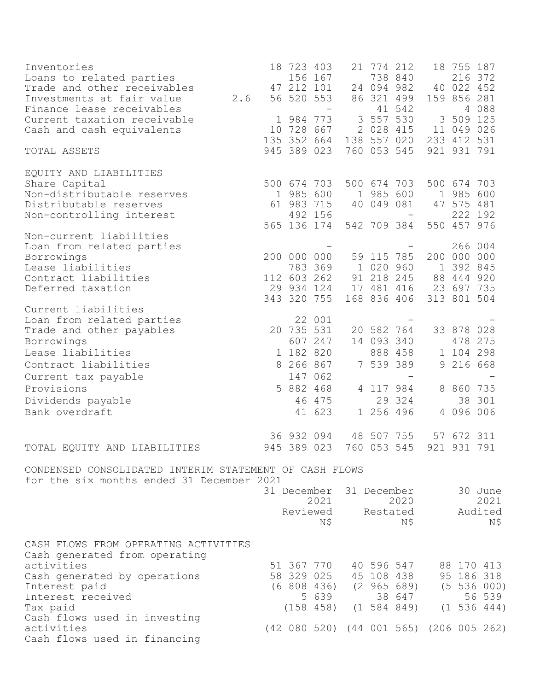| Inventories<br>Loans to related parties                                                                                                 |     |             | 18 723 403                             | 156 167                                                     | 21 774 212                        | 738 840                                                                  |              | 18 755 187<br>216 372                           |                                                                          |
|-----------------------------------------------------------------------------------------------------------------------------------------|-----|-------------|----------------------------------------|-------------------------------------------------------------|-----------------------------------|--------------------------------------------------------------------------|--------------|-------------------------------------------------|--------------------------------------------------------------------------|
| Trade and other receivables<br>Investments at fair value                                                                                | 2.6 |             | 47 212 101<br>56 520 553               |                                                             |                                   | 24 094 982<br>86 321 499                                                 |              | 40 022 452<br>159 856 281                       |                                                                          |
| Finance lease receivables<br>Current taxation receivable<br>Cash and cash equivalents                                                   |     | $\mathbf 1$ | 984 773<br>10 728 667                  |                                                             | 3 557 530<br>2 028 415            | 41 542                                                                   | 3            | 509 125<br>11 049 026                           | 4 088                                                                    |
| TOTAL ASSETS                                                                                                                            |     |             | 135 352 664<br>945 389 023             |                                                             | 760 053 545                       | 138 557 020                                                              |              | 233 412 531<br>921 931 791                      |                                                                          |
| EQUITY AND LIABILITIES                                                                                                                  |     |             |                                        |                                                             |                                   |                                                                          |              |                                                 |                                                                          |
| Share Capital<br>Non-distributable reserves<br>Distributable reserves                                                                   |     |             | 500 674 703<br>1 985 600<br>61 983 715 |                                                             | 1 985 600<br>40 049 081           | 500 674 703                                                              |              | 500 674 703<br>1 985<br>47 575 481              | 600                                                                      |
| Non-controlling interest                                                                                                                |     |             |                                        | 492 156<br>565 136 174                                      |                                   | 542 709 384                                                              |              | 222 192<br>550 457 976                          |                                                                          |
| Non-current liabilities<br>Loan from related parties<br>Borrowings<br>Lease liabilities<br>Contract liabilities                         |     |             | 112 603 262                            | 200 000 000<br>783 369                                      | 59 115 785<br>1 020 960           | 91 218 245                                                               | $\mathbf{1}$ | 266 004<br>200 000 000<br>392 845<br>88 444 920 |                                                                          |
| Deferred taxation                                                                                                                       |     |             |                                        | 29 934 124<br>343 320 755                                   |                                   | 17 481 416<br>168 836 406                                                |              | 23 697 735<br>313 801 504                       |                                                                          |
| Current liabilities<br>Loan from related parties<br>Trade and other payables<br>Borrowings<br>Lease liabilities<br>Contract liabilities |     |             | 20 735 531<br>1 182 820<br>8 266 867   | 22 001<br>607 247                                           | 20 582 764<br>14 093<br>7 539 389 | 340<br>888 458                                                           | 9            | 33 878 028<br>478 275<br>1 104 298<br>216 668   |                                                                          |
| Current tax payable<br>Provisions                                                                                                       |     |             | 5 882 468                              | 147 062<br>46 475                                           | 4 117 984                         | 29 324                                                                   |              | 8 860 735                                       | 38 301                                                                   |
| Dividends payable<br>Bank overdraft                                                                                                     |     |             |                                        | 41 623                                                      | 1 256 496                         |                                                                          |              | 4 096 006                                       |                                                                          |
| TOTAL EQUITY AND LIABILITIES                                                                                                            |     |             | 36 932 094<br>945 389 023              |                                                             | 48 507 755<br>760 053 545         |                                                                          | 921          | 57 672 311<br>931 791                           |                                                                          |
| CONDENSED CONSOLIDATED INTERIM STATEMENT OF CASH FLOWS<br>for the six months ended 31 December 2021                                     |     |             |                                        |                                                             |                                   |                                                                          |              |                                                 |                                                                          |
|                                                                                                                                         |     |             |                                        | 31 December<br>2021<br>Reviewed<br>N\$                      |                                   | 31 December<br>2020<br>Restated<br>Ν\$                                   |              |                                                 | 30 June<br>2021<br>Audited<br>Ν\$                                        |
| CASH FLOWS FROM OPERATING ACTIVITIES<br>Cash generated from operating                                                                   |     |             |                                        |                                                             |                                   |                                                                          |              |                                                 |                                                                          |
| activities<br>Cash generated by operations<br>Interest paid<br>Interest received<br>Tax paid                                            |     |             |                                        | 51 367 770<br>58 329 025<br>(6808436)<br>5 639<br>(158 458) |                                   | 40 596 547<br>45 108 438<br>$(2\ 965\ 689)$<br>38 647<br>$(1\ 584\ 849)$ |              |                                                 | 88 170 413<br>95 186 318<br>$(5\ 536\ 000)$<br>56 539<br>$(1\ 536\ 444)$ |
| Cash flows used in investing<br>activities<br>Cash flows used in financing                                                              |     |             |                                        |                                                             |                                   |                                                                          |              |                                                 | (42 080 520) (44 001 565) (206 005 262)                                  |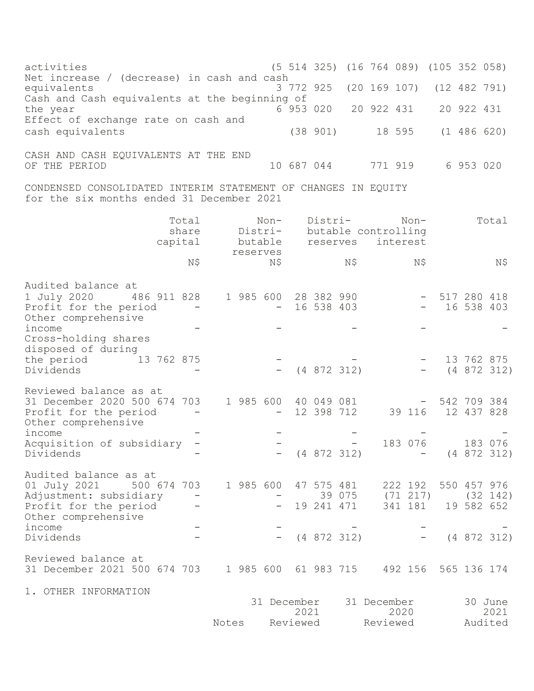activities (5 514 325) (16 764 089) (105 352 058) Net increase / (decrease) in cash and cash<br>equivalents 3 772 925 equivalents 3 772 925 (20 169 107) (12 482 791) Cash and Cash equivalents at the beginning of the year 6 953 020 20 922 431 20 922 431 Effect of exchange rate on cash and cash equivalents (38 901) 18 595 (1 486 620) CASH AND CASH EQUIVALENTS AT THE END OF THE PERIOD 10 687 044 771 919 6 953 020 CONDENSED CONSOLIDATED INTERIM STATEMENT OF CHANGES IN EQUITY for the six months ended 31 December 2021 Total Non- Distri- Non- Total share Distri- butable controlling capital butable reserves interest reserves  $N\tilde{S}$   $N\tilde{S}$   $N\tilde{S}$   $N\tilde{S}$   $N\tilde{S}$   $N\tilde{S}$ Audited balance at 1 July 2020 486 911 828 1 985 600 28 382 990 - 517 280 418 Profit for the period  $-$ Other comprehensive  $\frac{1}{2}$  income  $\frac{1}{2}$   $\frac{1}{2}$   $\frac{1}{2}$   $\frac{1}{2}$   $\frac{1}{2}$   $\frac{1}{2}$   $\frac{1}{2}$   $\frac{1}{2}$   $\frac{1}{2}$   $\frac{1}{2}$   $\frac{1}{2}$   $\frac{1}{2}$   $\frac{1}{2}$   $\frac{1}{2}$   $\frac{1}{2}$   $\frac{1}{2}$   $\frac{1}{2}$   $\frac{1}{2}$   $\frac{1}{2}$   $\frac{1}{2}$   $\frac{$ Cross-holding shares disposed of during the period 13 762 875 - - - 13 762 875<br>Dividends - - - - - - - - - - - - - 13 762 875  $(4 \t872 \t312)$  -  $(4 \t872 \t312)$ Reviewed balance as at 31 December 2020 500 674 703 1 985 600 40 049 081 - 542 709 384 Profit for the period - - - - 12 398 712 39 116 12 437 828 Other comprehensive  $\frac{1}{2}$  income  $\frac{1}{2}$   $\frac{1}{2}$   $\frac{1}{2}$   $\frac{1}{2}$   $\frac{1}{2}$   $\frac{1}{2}$   $\frac{1}{2}$   $\frac{1}{2}$   $\frac{1}{2}$   $\frac{1}{2}$   $\frac{1}{2}$   $\frac{1}{2}$   $\frac{1}{2}$   $\frac{1}{2}$   $\frac{1}{2}$   $\frac{1}{2}$   $\frac{1}{2}$   $\frac{1}{2}$   $\frac{1}{2}$   $\frac{1}{2}$   $\frac{$ Acquisition of subsidiary - - - 183 076 183 076 Dividends - - (4 872 312) - (4 872 312) Audited balance as at 01 July 2021 500 674 703 1 985 600 47 575 481 222 192 550 457 976 Adjustment: subsidiary - - 39 075 (71 217) (32 142)<br>Profit for the period - - - 19 241 471 341 181 19 582 652 Profit for the period Other comprehensive  $\frac{1}{2}$  income  $\frac{1}{2}$   $\frac{1}{2}$   $\frac{1}{2}$   $\frac{1}{2}$   $\frac{1}{2}$   $\frac{1}{2}$   $\frac{1}{2}$   $\frac{1}{2}$   $\frac{1}{2}$   $\frac{1}{2}$   $\frac{1}{2}$   $\frac{1}{2}$   $\frac{1}{2}$   $\frac{1}{2}$   $\frac{1}{2}$   $\frac{1}{2}$   $\frac{1}{2}$   $\frac{1}{2}$   $\frac{1}{2}$   $\frac{1}{2}$   $\frac{$ Dividends - - (4 872 312) - (4 872 312) Reviewed balance at 31 December 2021 500 674 703 1 985 600 61 983 715 492 156 565 136 174 1. OTHER INFORMATION 31 December 31 December 30 June 2021 2020 2021 Notes Reviewed Reviewed Audited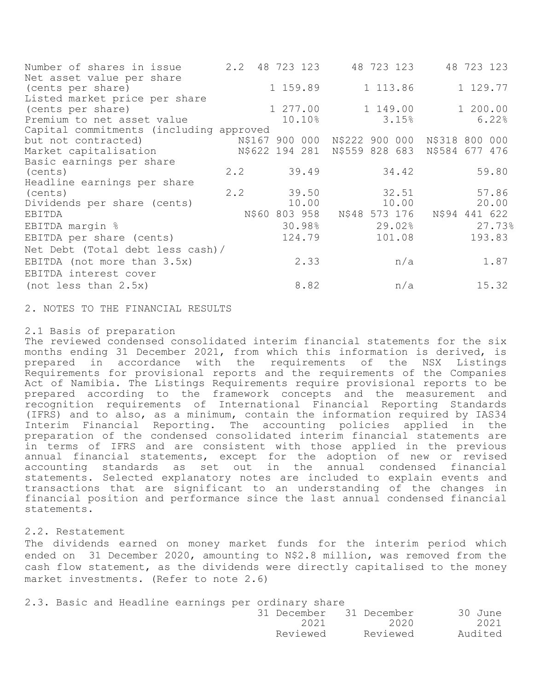| Number of shares in issue               | $2 \cdot 2$ | 48 723 123 | 48 723 123                                   | 48 723 123    |
|-----------------------------------------|-------------|------------|----------------------------------------------|---------------|
| Net asset value per share               |             |            |                                              |               |
| (cents per share)                       |             | 1 159.89   | 1 113.86                                     | 1 129.77      |
| Listed market price per share           |             |            |                                              |               |
| (cents per share)                       |             | 1 277.00   | 1 149.00                                     | 1 200.00      |
| Premium to net asset value              |             | 10.10%     | 3.15%                                        | 6.22%         |
| Capital commitments (including approved |             |            |                                              |               |
| but not contracted)                     |             |            | N\$167 900 000 N\$222 900 000 N\$318 800 000 |               |
| Market capitalisation                   |             |            | N\$622 194 281 N\$559 828 683 N\$584 677 476 |               |
| Basic earnings per share                |             |            |                                              |               |
| (cents)                                 | $2 \cdot 2$ | 39.49      | 34.42                                        | 59.80         |
| Headline earnings per share             |             |            |                                              |               |
| (cents)                                 | 2.2         | 39.50      | 32.51                                        | 57.86         |
| Dividends per share (cents)             |             | 10.00      | 10.00                                        | 20.00         |
| EBITDA                                  |             |            |                                              | N\$94 441 622 |
| EBITDA margin %                         |             | 30.98%     | 29.02%                                       | 27.73%        |
| EBITDA per share (cents)                |             | 124.79     | 101.08                                       | 193.83        |
| Net Debt (Total debt less cash)/        |             |            |                                              |               |
| EBITDA (not more than 3.5x)             |             | 2.33       | n/a                                          | 1.87          |
| EBITDA interest cover                   |             |            |                                              |               |
| (not less than 2.5x)                    |             | 8.82       | n/a                                          | 15.32         |
|                                         |             |            |                                              |               |

2. NOTES TO THE FINANCIAL RESULTS

## 2.1 Basis of preparation

The reviewed condensed consolidated interim financial statements for the six months ending 31 December 2021, from which this information is derived, is prepared in accordance with the requirements of the NSX Listings Requirements for provisional reports and the requirements of the Companies Act of Namibia. The Listings Requirements require provisional reports to be prepared according to the framework concepts and the measurement and recognition requirements of International Financial Reporting Standards (IFRS) and to also, as a minimum, contain the information required by IAS34 Interim Financial Reporting. The accounting policies applied in the preparation of the condensed consolidated interim financial statements are in terms of IFRS and are consistent with those applied in the previous annual financial statements, except for the adoption of new or revised accounting standards as set out in the annual condensed financial statements. Selected explanatory notes are included to explain events and transactions that are significant to an understanding of the changes in financial position and performance since the last annual condensed financial statements.

## 2.2. Restatement

The dividends earned on money market funds for the interim period which ended on 31 December 2020, amounting to N\$2.8 million, was removed from the cash flow statement, as the dividends were directly capitalised to the money market investments. (Refer to note 2.6)

2.3. Basic and Headline earnings per ordinary share

|  |          | 31 December 31 December | 30 June |
|--|----------|-------------------------|---------|
|  | 2021     | 2020                    | 2021    |
|  | Reviewed | Reviewed                | Audited |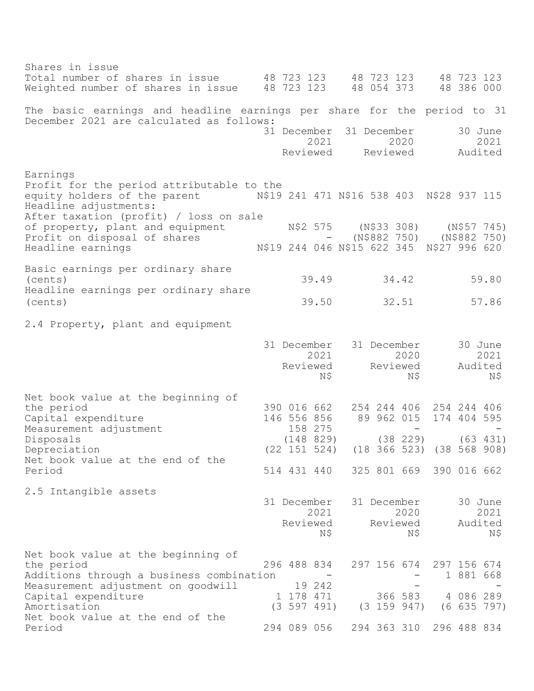Shares in issue Total number of shares in issue 48 723 123 48 723 123 48 723 123 Weighted number of shares in issue 48 723 123 The basic earnings and headline earnings per share for the period to 31 December 2021 are calculated as follows: 31 December 31 December 30 June 2021 2020 2021 Reviewed Reviewed Audited Earnings Profit for the period attributable to the<br>equity holders of the parent M\$19 N\$19 241 471 N\$16 538 403 N\$28 937 115 Headline adjustments: After taxation (profit) / loss on sale of property, plant and equipment N\$2 575 (N\$33 308) (N\$57 745) Profit on disposal of shares  $-$  (N\$882 750) (N\$882 750) Headline earnings N\$19 244 046 N\$15 622 345 N\$27 996 620 Basic earnings per ordinary share (cents) 39.49 34.42 59.80 Headline earnings per ordinary share (cents) 39.50 32.51 57.86 2.4 Property, plant and equipment 31 December 31 December 30 June 2021 2020 2021 Reviewed Reviewed Audited N\$ N\$ N\$ Net book value at the beginning of the period 390 016 662 254 244 406 254 244 406 Capital expenditure 146 556 856 89 962 015 174 404 595<br>Measurement adjustment 158 275 -Measurement adjustment Disposals (148 829) (38 229) (63 431) Depreciation (22 151 524) (18 366 523) (38 568 908) Net book value at the end of the Period 514 431 440 325 801 669 390 016 662 2.5 Intangible assets 31 December 31 December 30 June 2021 2020 2021 Reviewed Reviewed Audited N\$ N\$ N\$ Net book value at the beginning of the period 296 488 834 297 156 674 297 156 674 Additions through a business combination - - - - 1 881 668 Measurement adjustment on goodwill 19 242 Capital expenditure 1 178 471 366 583 4 086 289 Amortisation (3 597 491) (3 159 947) (6 635 797) Net book value at the end of the Period 294 089 056 294 363 310 296 488 834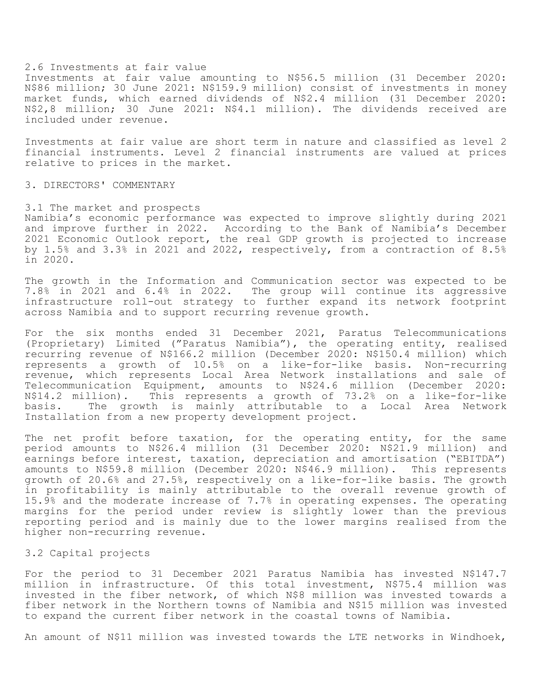#### 2.6 Investments at fair value

Investments at fair value amounting to N\$56.5 million (31 December 2020: N\$86 million; 30 June 2021: N\$159.9 million) consist of investments in money market funds, which earned dividends of N\$2.4 million (31 December 2020: N\$2,8 million; 30 June 2021: N\$4.1 million). The dividends received are included under revenue.

Investments at fair value are short term in nature and classified as level 2 financial instruments. Level 2 financial instruments are valued at prices relative to prices in the market.

#### 3. DIRECTORS' COMMENTARY

#### 3.1 The market and prospects

Namibia's economic performance was expected to improve slightly during 2021 and improve further in 2022. According to the Bank of Namibia's December 2021 Economic Outlook report, the real GDP growth is projected to increase by 1.5% and 3.3% in 2021 and 2022, respectively, from a contraction of 8.5% in 2020.

The growth in the Information and Communication sector was expected to be 7.8% in 2021 and 6.4% in 2022. The group will continue its aggressive infrastructure roll-out strategy to further expand its network footprint across Namibia and to support recurring revenue growth.

For the six months ended 31 December 2021, Paratus Telecommunications (Proprietary) Limited ("Paratus Namibia"), the operating entity, realised recurring revenue of N\$166.2 million (December 2020: N\$150.4 million) which represents a growth of 10.5% on a like-for-like basis. Non-recurring revenue, which represents Local Area Network installations and sale of Telecommunication Equipment, amounts to N\$24.6 million (December 2020: N\$14.2 million). This represents a growth of 73.2% on a like-for-like basis. The growth is mainly attributable to a Local Area Network Installation from a new property development project.

The net profit before taxation, for the operating entity, for the same period amounts to N\$26.4 million (31 December 2020: N\$21.9 million) and earnings before interest, taxation, depreciation and amortisation ("EBITDA") amounts to N\$59.8 million (December 2020: N\$46.9 million). This represents growth of 20.6% and 27.5%, respectively on a like-for-like basis. The growth in profitability is mainly attributable to the overall revenue growth of 15.9% and the moderate increase of 7.7% in operating expenses. The operating margins for the period under review is slightly lower than the previous reporting period and is mainly due to the lower margins realised from the higher non-recurring revenue.

## 3.2 Capital projects

For the period to 31 December 2021 Paratus Namibia has invested N\$147.7 million in infrastructure. Of this total investment, N\$75.4 million was invested in the fiber network, of which N\$8 million was invested towards a fiber network in the Northern towns of Namibia and N\$15 million was invested to expand the current fiber network in the coastal towns of Namibia.

An amount of N\$11 million was invested towards the LTE networks in Windhoek,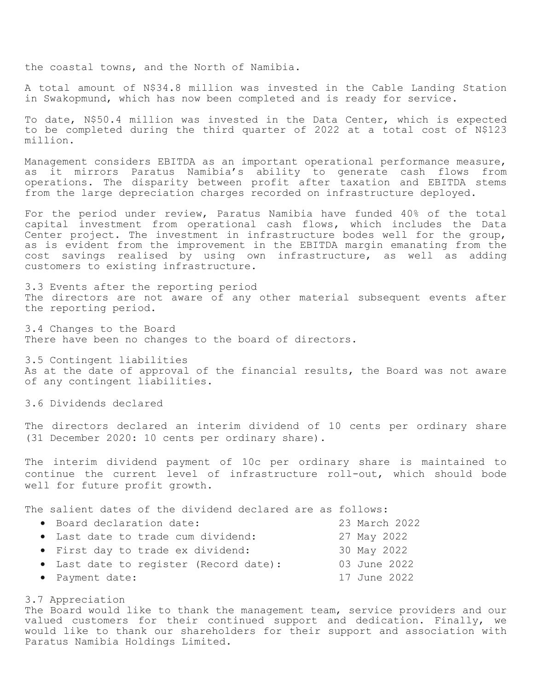the coastal towns, and the North of Namibia.

A total amount of N\$34.8 million was invested in the Cable Landing Station in Swakopmund, which has now been completed and is ready for service.

To date, N\$50.4 million was invested in the Data Center, which is expected to be completed during the third quarter of 2022 at a total cost of N\$123 million.

Management considers EBITDA as an important operational performance measure, as it mirrors Paratus Namibia's ability to generate cash flows from operations. The disparity between profit after taxation and EBITDA stems from the large depreciation charges recorded on infrastructure deployed.

For the period under review, Paratus Namibia have funded 40% of the total capital investment from operational cash flows, which includes the Data Center project. The investment in infrastructure bodes well for the group, as is evident from the improvement in the EBITDA margin emanating from the cost savings realised by using own infrastructure, as well as adding customers to existing infrastructure.

3.3 Events after the reporting period The directors are not aware of any other material subsequent events after the reporting period.

3.4 Changes to the Board There have been no changes to the board of directors.

3.5 Contingent liabilities As at the date of approval of the financial results, the Board was not aware of any contingent liabilities.

3.6 Dividends declared

The directors declared an interim dividend of 10 cents per ordinary share (31 December 2020: 10 cents per ordinary share).

The interim dividend payment of 10c per ordinary share is maintained to continue the current level of infrastructure roll-out, which should bode well for future profit growth.

The salient dates of the dividend declared are as follows:

| · Board declaration date:              | 23 March 2022 |
|----------------------------------------|---------------|
| • Last date to trade cum dividend:     | 27 May 2022   |
| • First day to trade ex dividend:      | 30 May 2022   |
| • Last date to register (Record date): | 03 June 2022  |
| • Payment date:                        | 17 June 2022  |

# 3.7 Appreciation

The Board would like to thank the management team, service providers and our valued customers for their continued support and dedication. Finally, we would like to thank our shareholders for their support and association with Paratus Namibia Holdings Limited.